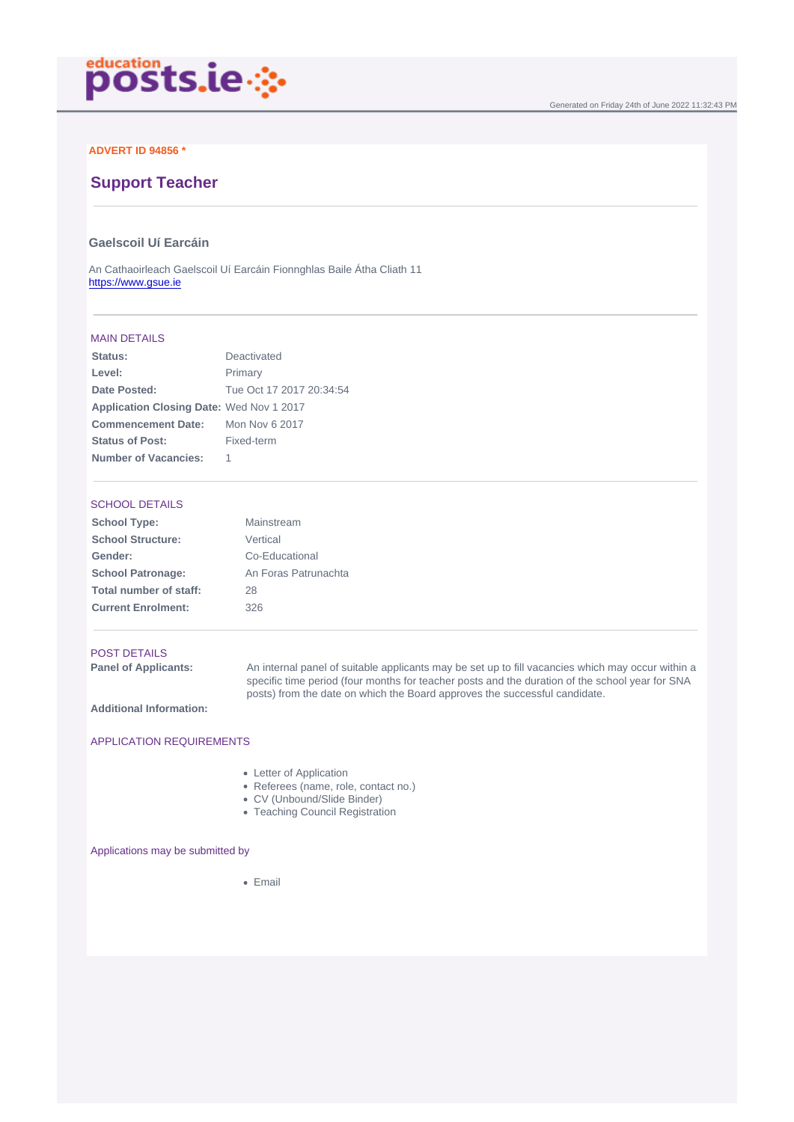## ADVERT ID 94856 \*

# Support Teacher

## Gaelscoil Uí Earcáin

An Cathaoirleach Gaelscoil Uí Earcáin Fionnghlas Baile Átha Cliath 11 <https://www.gsue.ie>

#### MAIN DETAILS

| Status:                   | Deactivated              |
|---------------------------|--------------------------|
| Level:                    | Primary                  |
| Date Posted:              | Tue Oct 17 2017 20:34:54 |
| Application Closing Date: | Wed Nov 1 2017           |
| Commencement Date:        | Mon Nov 6 2017           |
| Status of Post:           | Fixed-term               |
| Number of Vacancies:      |                          |

#### SCHOOL DETAILS

| School Type:              | Mainstream           |
|---------------------------|----------------------|
| School Structure:         | Vertical             |
| Gender:                   | Co-Educational       |
| School Patronage:         | An Foras Patrunachta |
| Total number of staff:    | 28                   |
| <b>Current Enrolment:</b> | 326                  |
|                           |                      |

#### POST DETAILS

Panel of Applicants: An internal panel of suitable applicants may be set up to fill vacancies which may occur within a specific time period (four months for teacher posts and the duration of the school year for SNA posts) from the date on which the Board approves the successful candidate.

Additional Information:

### APPLICATION REQUIREMENTS

- Letter of Application
- Referees (name, role, contact no.)
- CV (Unbound/Slide Binder)
- Teaching Council Registration

#### Applications may be submitted by

• Email